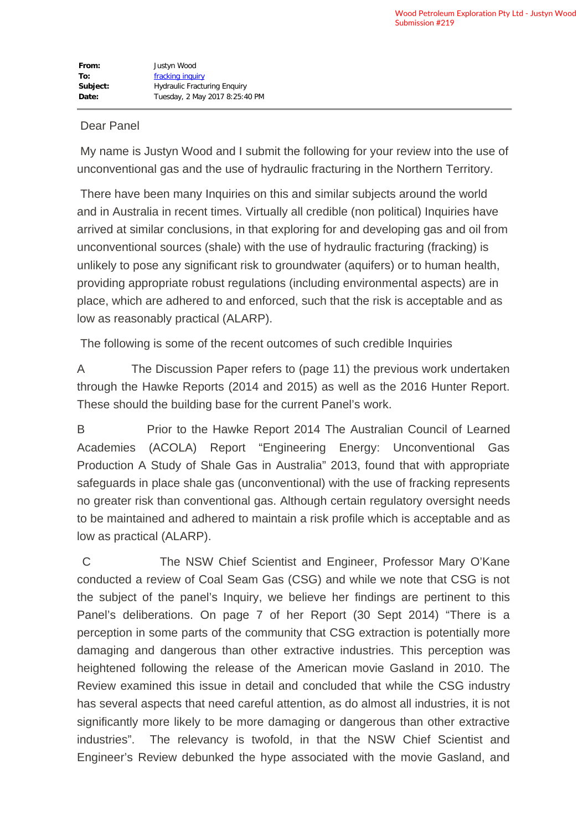## Dear Panel

 My name is Justyn Wood and I submit the following for your review into the use of unconventional gas and the use of hydraulic fracturing in the Northern Territory.

 There have been many Inquiries on this and similar subjects around the world and in Australia in recent times. Virtually all credible (non political) Inquiries have arrived at similar conclusions, in that exploring for and developing gas and oil from unconventional sources (shale) with the use of hydraulic fracturing (fracking) is unlikely to pose any significant risk to groundwater (aquifers) or to human health, providing appropriate robust regulations (including environmental aspects) are in place, which are adhered to and enforced, such that the risk is acceptable and as low as reasonably practical (ALARP).

The following is some of the recent outcomes of such credible Inquiries

A The Discussion Paper refers to (page 11) the previous work undertaken through the Hawke Reports (2014 and 2015) as well as the 2016 Hunter Report. These should the building base for the current Panel's work.

B Prior to the Hawke Report 2014 The Australian Council of Learned Academies (ACOLA) Report "Engineering Energy: Unconventional Gas Production A Study of Shale Gas in Australia" 2013, found that with appropriate safeguards in place shale gas (unconventional) with the use of fracking represents no greater risk than conventional gas. Although certain regulatory oversight needs to be maintained and adhered to maintain a risk profile which is acceptable and as low as practical (ALARP).

C The NSW Chief Scientist and Engineer, Professor Mary O'Kane conducted a review of Coal Seam Gas (CSG) and while we note that CSG is not the subject of the panel's Inquiry, we believe her findings are pertinent to this Panel's deliberations. On page 7 of her Report (30 Sept 2014) "There is a perception in some parts of the community that CSG extraction is potentially more damaging and dangerous than other extractive industries. This perception was heightened following the release of the American movie Gasland in 2010. The Review examined this issue in detail and concluded that while the CSG industry has several aspects that need careful attention, as do almost all industries, it is not significantly more likely to be more damaging or dangerous than other extractive industries". The relevancy is twofold, in that the NSW Chief Scientist and Engineer's Review debunked the hype associated with the movie Gasland, and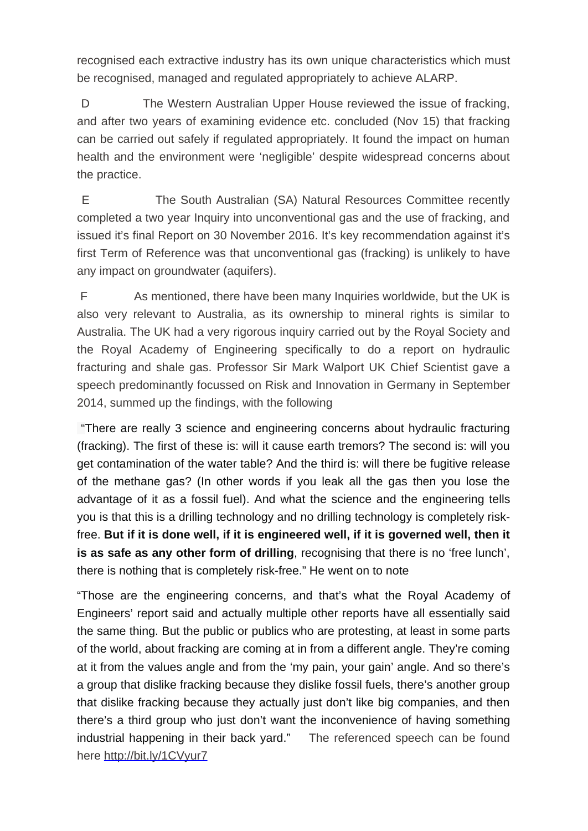recognised each extractive industry has its own unique characteristics which must be recognised, managed and regulated appropriately to achieve ALARP.

D The Western Australian Upper House reviewed the issue of fracking. and after two years of examining evidence etc. concluded (Nov 15) that fracking can be carried out safely if regulated appropriately. It found the impact on human health and the environment were 'negligible' despite widespread concerns about the practice.

 E The South Australian (SA) Natural Resources Committee recently completed a two year Inquiry into unconventional gas and the use of fracking, and issued it's final Report on 30 November 2016. It's key recommendation against it's first Term of Reference was that unconventional gas (fracking) is unlikely to have any impact on groundwater (aquifers).

 F As mentioned, there have been many Inquiries worldwide, but the UK is also very relevant to Australia, as its ownership to mineral rights is similar to Australia. The UK had a very rigorous inquiry carried out by the Royal Society and the Royal Academy of Engineering specifically to do a report on hydraulic fracturing and shale gas. Professor Sir Mark Walport UK Chief Scientist gave a speech predominantly focussed on Risk and Innovation in Germany in September 2014, summed up the findings, with the following

 "There are really 3 science and engineering concerns about hydraulic fracturing (fracking). The first of these is: will it cause earth tremors? The second is: will you get contamination of the water table? And the third is: will there be fugitive release of the methane gas? (In other words if you leak all the gas then you lose the advantage of it as a fossil fuel). And what the science and the engineering tells you is that this is a drilling technology and no drilling technology is completely riskfree. **But if it is done well, if it is engineered well, if it is governed well, then it is as safe as any other form of drilling**, recognising that there is no 'free lunch', there is nothing that is completely risk-free." He went on to note

"Those are the engineering concerns, and that's what the Royal Academy of Engineers' report said and actually multiple other reports have all essentially said the same thing. But the public or publics who are protesting, at least in some parts of the world, about fracking are coming at in from a different angle. They're coming at it from the values angle and from the 'my pain, your gain' angle. And so there's a group that dislike fracking because they dislike fossil fuels, there's another group that dislike fracking because they actually just don't like big companies, and then there's a third group who just don't want the inconvenience of having something industrial happening in their back yard." The referenced speech can be found here http://bit.ly/1CVyur7